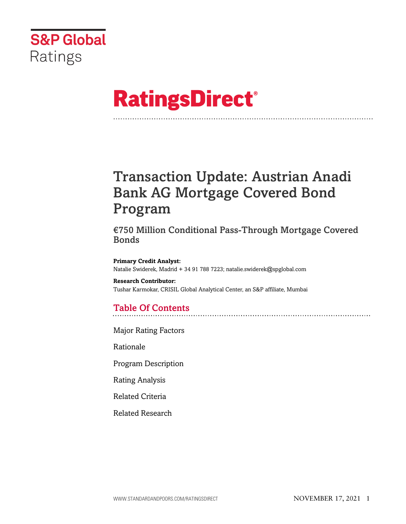

# **RatingsDirect®**

## Transaction Update: Austrian Anadi Bank AG Mortgage Covered Bond Program

€750 Million Conditional Pass-Through Mortgage Covered **Bonds** 

**Primary Credit Analyst:** Natalie Swiderek, Madrid + 34 91 788 7223; natalie.swiderek@spglobal.com

**Research Contributor:** Tushar Karmokar, CRISIL Global Analytical Center, an S&P affiliate, Mumbai

## Table Of Contents

[Major Rating Factors](#page-1-0)

[Rationale](#page-2-0)

[Program Description](#page-3-0)

[Rating Analysis](#page-5-0)

[Related Criteria](#page-12-0)

[Related Research](#page-13-0)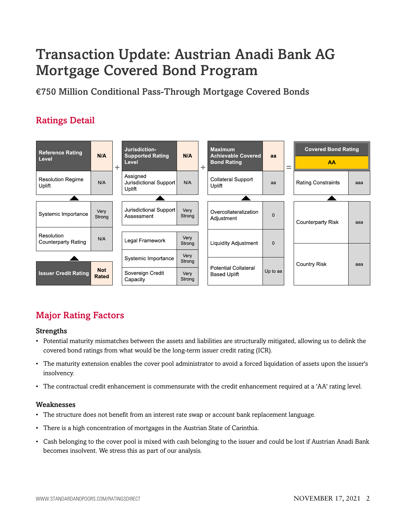## Transaction Update: Austrian Anadi Bank AG Mortgage Covered Bond Program

€750 Million Conditional Pass-Through Mortgage Covered Bonds

## Ratings Detail



## <span id="page-1-0"></span>Major Rating Factors

#### Strengths

- Potential maturity mismatches between the assets and liabilities are structurally mitigated, allowing us to delink the covered bond ratings from what would be the long-term issuer credit rating (ICR).
- The maturity extension enables the cover pool administrator to avoid a forced liquidation of assets upon the issuer's insolvency.
- The contractual credit enhancement is commensurate with the credit enhancement required at a 'AA' rating level.

#### Weaknesses

- The structure does not benefit from an interest rate swap or account bank replacement language.
- There is a high concentration of mortgages in the Austrian State of Carinthia.
- Cash belonging to the cover pool is mixed with cash belonging to the issuer and could be lost if Austrian Anadi Bank becomes insolvent. We stress this as part of our analysis.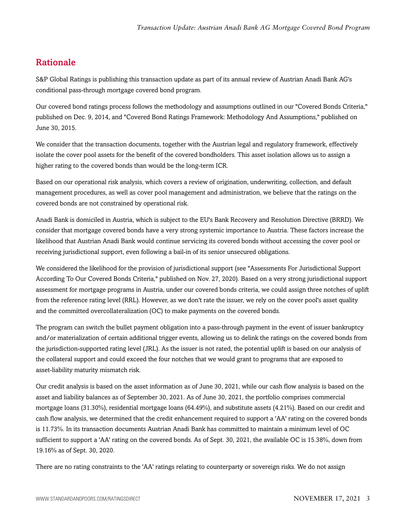## <span id="page-2-0"></span>Rationale

S&P Global Ratings is publishing this transaction update as part of its annual review of Austrian Anadi Bank AG's conditional pass-through mortgage covered bond program.

Our covered bond ratings process follows the methodology and assumptions outlined in our "Covered Bonds Criteria," published on Dec. 9, 2014, and "Covered Bond Ratings Framework: Methodology And Assumptions," published on June 30, 2015.

We consider that the transaction documents, together with the Austrian legal and regulatory framework, effectively isolate the cover pool assets for the benefit of the covered bondholders. This asset isolation allows us to assign a higher rating to the covered bonds than would be the long-term ICR.

Based on our operational risk analysis, which covers a review of origination, underwriting, collection, and default management procedures, as well as cover pool management and administration, we believe that the ratings on the covered bonds are not constrained by operational risk.

Anadi Bank is domiciled in Austria, which is subject to the EU's Bank Recovery and Resolution Directive (BRRD). We consider that mortgage covered bonds have a very strong systemic importance to Austria. These factors increase the likelihood that Austrian Anadi Bank would continue servicing its covered bonds without accessing the cover pool or receiving jurisdictional support, even following a bail-in of its senior unsecured obligations.

We considered the likelihood for the provision of jurisdictional support (see "Assessments For Jurisdictional Support According To Our Covered Bonds Criteria," published on Nov. 27, 2020). Based on a very strong jurisdictional support assessment for mortgage programs in Austria, under our covered bonds criteria, we could assign three notches of uplift from the reference rating level (RRL). However, as we don't rate the issuer, we rely on the cover pool's asset quality and the committed overcollateralization (OC) to make payments on the covered bonds.

The program can switch the bullet payment obligation into a pass-through payment in the event of issuer bankruptcy and/or materialization of certain additional trigger events, allowing us to delink the ratings on the covered bonds from the jurisdiction-supported rating level (JRL). As the issuer is not rated, the potential uplift is based on our analysis of the collateral support and could exceed the four notches that we would grant to programs that are exposed to asset-liability maturity mismatch risk.

Our credit analysis is based on the asset information as of June 30, 2021, while our cash flow analysis is based on the asset and liability balances as of September 30, 2021. As of June 30, 2021, the portfolio comprises commercial mortgage loans (31.30%), residential mortgage loans (64.49%), and substitute assets (4.21%). Based on our credit and cash flow analysis, we determined that the credit enhancement required to support a 'AA' rating on the covered bonds is 11.73%. In its transaction documents Austrian Anadi Bank has committed to maintain a minimum level of OC sufficient to support a 'AA' rating on the covered bonds. As of Sept. 30, 2021, the available OC is 15.38%, down from 19.16% as of Sept. 30, 2020.

There are no rating constraints to the 'AA' ratings relating to counterparty or sovereign risks. We do not assign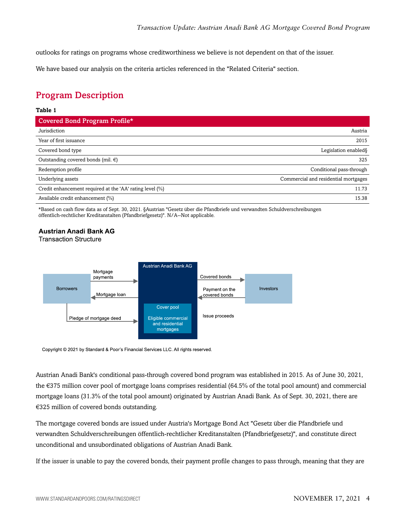outlooks for ratings on programs whose creditworthiness we believe is not dependent on that of the issuer.

<span id="page-3-0"></span>We have based our analysis on the criteria articles referenced in the "Related Criteria" section.

## Program Description

#### **Table 1**

| Covered Bond Program Profile*                            |                                      |
|----------------------------------------------------------|--------------------------------------|
| Jurisdiction                                             | Austria                              |
| Year of first issuance                                   | 2015                                 |
| Covered bond type                                        | Legislation enabled §                |
| Outstanding covered bonds (mil. $\epsilon$ )             | 325                                  |
| Redemption profile                                       | Conditional pass-through             |
| Underlying assets                                        | Commercial and residential mortgages |
| Credit enhancement required at the 'AA' rating level (%) | 11.73                                |
| Available credit enhancement (%)                         | 15.38                                |

\*Based on cash flow data as of Sept. 30, 2021. §Austrian "Gesetz über die Pfandbriefe und verwandten Schuldverschreibungen öffentlich-rechtlicher Kreditanstalten (Pfandbriefgesetz)". N/A--Not applicable.

#### **Austrian Anadi Bank AG**

**Transaction Structure** 



Copyright © 2021 by Standard & Poor's Financial Services LLC. All rights reserved.

Austrian Anadi Bank's conditional pass-through covered bond program was established in 2015. As of June 30, 2021, the €375 million cover pool of mortgage loans comprises residential (64.5% of the total pool amount) and commercial mortgage loans (31.3% of the total pool amount) originated by Austrian Anadi Bank. As of Sept. 30, 2021, there are €325 million of covered bonds outstanding.

The mortgage covered bonds are issued under Austria's Mortgage Bond Act "Gesetz über die Pfandbriefe und verwandten Schuldverschreibungen öffentlich-rechtlicher Kreditanstalten (Pfandbriefgesetz)", and constitute direct unconditional and unsubordinated obligations of Austrian Anadi Bank.

If the issuer is unable to pay the covered bonds, their payment profile changes to pass through, meaning that they are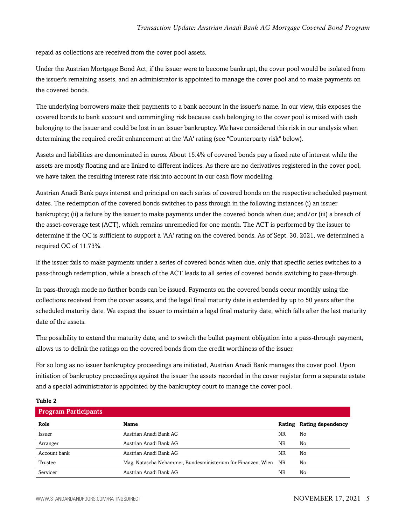repaid as collections are received from the cover pool assets.

Under the Austrian Mortgage Bond Act, if the issuer were to become bankrupt, the cover pool would be isolated from the issuer's remaining assets, and an administrator is appointed to manage the cover pool and to make payments on the covered bonds.

The underlying borrowers make their payments to a bank account in the issuer's name. In our view, this exposes the covered bonds to bank account and commingling risk because cash belonging to the cover pool is mixed with cash belonging to the issuer and could be lost in an issuer bankruptcy. We have considered this risk in our analysis when determining the required credit enhancement at the 'AA' rating (see "Counterparty risk" below).

Assets and liabilities are denominated in euros. About 15.4% of covered bonds pay a fixed rate of interest while the assets are mostly floating and are linked to different indices. As there are no derivatives registered in the cover pool, we have taken the resulting interest rate risk into account in our cash flow modelling.

Austrian Anadi Bank pays interest and principal on each series of covered bonds on the respective scheduled payment dates. The redemption of the covered bonds switches to pass through in the following instances (i) an issuer bankruptcy; (ii) a failure by the issuer to make payments under the covered bonds when due; and/or (iii) a breach of the asset-coverage test (ACT), which remains unremedied for one month. The ACT is performed by the issuer to determine if the OC is sufficient to support a 'AA' rating on the covered bonds. As of Sept. 30, 2021, we determined a required OC of 11.73%.

If the issuer fails to make payments under a series of covered bonds when due, only that specific series switches to a pass-through redemption, while a breach of the ACT leads to all series of covered bonds switching to pass-through.

In pass-through mode no further bonds can be issued. Payments on the covered bonds occur monthly using the collections received from the cover assets, and the legal final maturity date is extended by up to 50 years after the scheduled maturity date. We expect the issuer to maintain a legal final maturity date, which falls after the last maturity date of the assets.

The possibility to extend the maturity date, and to switch the bullet payment obligation into a pass-through payment, allows us to delink the ratings on the covered bonds from the credit worthiness of the issuer.

For so long as no issuer bankruptcy proceedings are initiated, Austrian Anadi Bank manages the cover pool. Upon initiation of bankruptcy proceedings against the issuer the assets recorded in the cover register form a separate estate and a special administrator is appointed by the bankruptcy court to manage the cover pool.

#### **Table 2**

| <b>Program Participants</b> |                                                              |    |                          |
|-----------------------------|--------------------------------------------------------------|----|--------------------------|
| Role                        | Name                                                         |    | Rating Rating dependency |
| Issuer                      | Austrian Anadi Bank AG                                       | NR | No                       |
| Arranger                    | Austrian Anadi Bank AG                                       | NR | No                       |
| Account bank                | Austrian Anadi Bank AG                                       | NR | No                       |
| Trustee                     | Mag. Natascha Nehammer, Bundesministerium für Finanzen, Wien | NR | No                       |
| Servicer                    | Austrian Anadi Bank AG                                       | NR | No                       |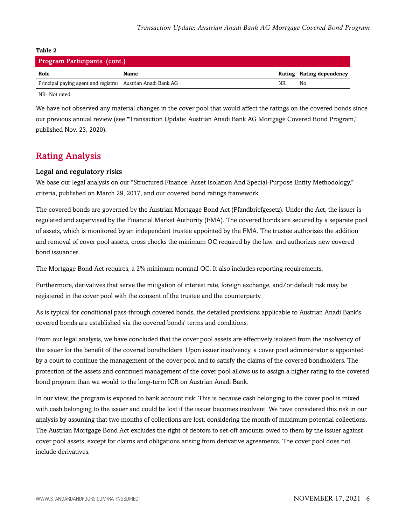| Program Participants (cont.)                                |      |    |                          |  |  |
|-------------------------------------------------------------|------|----|--------------------------|--|--|
| Role                                                        | Name |    | Rating Rating dependency |  |  |
| Principal paying agent and registrar Austrian Anadi Bank AG |      | NR | No                       |  |  |
|                                                             |      |    |                          |  |  |

NR--Not rated.

We have not observed any material changes in the cover pool that would affect the ratings on the covered bonds since our previous annual review (see "Transaction Update: Austrian Anadi Bank AG Mortgage Covered Bond Program," published Nov. 23, 2020).

## <span id="page-5-0"></span>Rating Analysis

#### Legal and regulatory risks

We base our legal analysis on our "Structured Finance: Asset Isolation And Special-Purpose Entity Methodology," criteria, published on March 29, 2017, and our covered bond ratings framework.

The covered bonds are governed by the Austrian Mortgage Bond Act (Pfandbriefgesetz). Under the Act, the issuer is regulated and supervised by the Financial Market Authority (FMA). The covered bonds are secured by a separate pool of assets, which is monitored by an independent trustee appointed by the FMA. The trustee authorizes the addition and removal of cover pool assets, cross checks the minimum OC required by the law, and authorizes new covered bond issuances.

The Mortgage Bond Act requires, a 2% minimum nominal OC. It also includes reporting requirements.

Furthermore, derivatives that serve the mitigation of interest rate, foreign exchange, and/or default risk may be registered in the cover pool with the consent of the trustee and the counterparty.

As is typical for conditional pass-through covered bonds, the detailed provisions applicable to Austrian Anadi Bank's covered bonds are established via the covered bonds' terms and conditions.

From our legal analysis, we have concluded that the cover pool assets are effectively isolated from the insolvency of the issuer for the benefit of the covered bondholders. Upon issuer insolvency, a cover pool administrator is appointed by a court to continue the management of the cover pool and to satisfy the claims of the covered bondholders. The protection of the assets and continued management of the cover pool allows us to assign a higher rating to the covered bond program than we would to the long-term ICR on Austrian Anadi Bank.

In our view, the program is exposed to bank account risk. This is because cash belonging to the cover pool is mixed with cash belonging to the issuer and could be lost if the issuer becomes insolvent. We have considered this risk in our analysis by assuming that two months of collections are lost, considering the month of maximum potential collections. The Austrian Mortgage Bond Act excludes the right of debtors to set-off amounts owed to them by the issuer against cover pool assets, except for claims and obligations arising from derivative agreements. The cover pool does not include derivatives.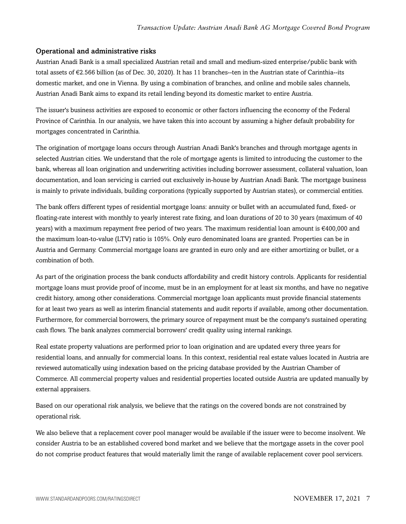#### Operational and administrative risks

Austrian Anadi Bank is a small specialized Austrian retail and small and medium-sized enterprise/public bank with total assets of €2.566 billion (as of Dec. 30, 2020). It has 11 branches--ten in the Austrian state of Carinthia--its domestic market, and one in Vienna. By using a combination of branches, and online and mobile sales channels, Austrian Anadi Bank aims to expand its retail lending beyond its domestic market to entire Austria.

The issuer's business activities are exposed to economic or other factors influencing the economy of the Federal Province of Carinthia. In our analysis, we have taken this into account by assuming a higher default probability for mortgages concentrated in Carinthia.

The origination of mortgage loans occurs through Austrian Anadi Bank's branches and through mortgage agents in selected Austrian cities. We understand that the role of mortgage agents is limited to introducing the customer to the bank, whereas all loan origination and underwriting activities including borrower assessment, collateral valuation, loan documentation, and loan servicing is carried out exclusively in-house by Austrian Anadi Bank. The mortgage business is mainly to private individuals, building corporations (typically supported by Austrian states), or commercial entities.

The bank offers different types of residential mortgage loans: annuity or bullet with an accumulated fund, fixed- or floating-rate interest with monthly to yearly interest rate fixing, and loan durations of 20 to 30 years (maximum of 40 years) with a maximum repayment free period of two years. The maximum residential loan amount is €400,000 and the maximum loan-to-value (LTV) ratio is 105%. Only euro denominated loans are granted. Properties can be in Austria and Germany. Commercial mortgage loans are granted in euro only and are either amortizing or bullet, or a combination of both.

As part of the origination process the bank conducts affordability and credit history controls. Applicants for residential mortgage loans must provide proof of income, must be in an employment for at least six months, and have no negative credit history, among other considerations. Commercial mortgage loan applicants must provide financial statements for at least two years as well as interim financial statements and audit reports if available, among other documentation. Furthermore, for commercial borrowers, the primary source of repayment must be the company's sustained operating cash flows. The bank analyzes commercial borrowers' credit quality using internal rankings.

Real estate property valuations are performed prior to loan origination and are updated every three years for residential loans, and annually for commercial loans. In this context, residential real estate values located in Austria are reviewed automatically using indexation based on the pricing database provided by the Austrian Chamber of Commerce. All commercial property values and residential properties located outside Austria are updated manually by external appraisers.

Based on our operational risk analysis, we believe that the ratings on the covered bonds are not constrained by operational risk.

We also believe that a replacement cover pool manager would be available if the issuer were to become insolvent. We consider Austria to be an established covered bond market and we believe that the mortgage assets in the cover pool do not comprise product features that would materially limit the range of available replacement cover pool servicers.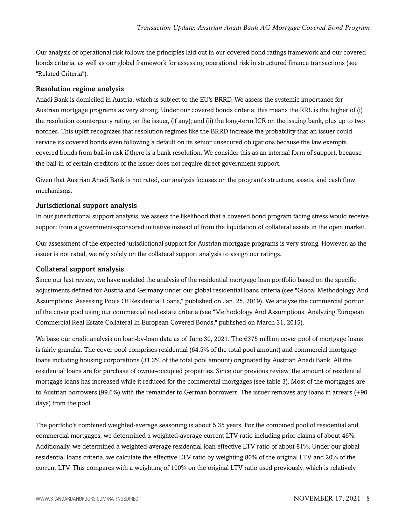Our analysis of operational risk follows the principles laid out in our covered bond ratings framework and our covered bonds criteria, as well as our global framework for assessing operational risk in structured finance transactions (see "Related Criteria").

#### Resolution regime analysis

Anadi Bank is domiciled in Austria, which is subject to the EU's BRRD. We assess the systemic importance for Austrian mortgage programs as very strong. Under our covered bonds criteria, this means the RRL is the higher of (i) the resolution counterparty rating on the issuer, (if any); and (ii) the long-term ICR on the issuing bank, plus up to two notches. This uplift recognizes that resolution regimes like the BRRD increase the probability that an issuer could service its covered bonds even following a default on its senior unsecured obligations because the law exempts covered bonds from bail-in risk if there is a bank resolution. We consider this as an internal form of support, because the bail-in of certain creditors of the issuer does not require direct government support.

Given that Austrian Anadi Bank is not rated, our analysis focuses on the program's structure, assets, and cash flow mechanisms.

#### Jurisdictional support analysis

In our jurisdictional support analysis, we assess the likelihood that a covered bond program facing stress would receive support from a government-sponsored initiative instead of from the liquidation of collateral assets in the open market.

Our assessment of the expected jurisdictional support for Austrian mortgage programs is very strong. However, as the issuer is not rated, we rely solely on the collateral support analysis to assign our ratings.

#### Collateral support analysis

Since our last review, we have updated the analysis of the residential mortgage loan portfolio based on the specific adjustments defined for Austria and Germany under our global residential loans criteria (see "Global Methodology And Assumptions: Assessing Pools Of Residential Loans," published on Jan. 25, 2019). We analyze the commercial portion of the cover pool using our commercial real estate criteria (see "Methodology And Assumptions: Analyzing European Commercial Real Estate Collateral In European Covered Bonds," published on March 31, 2015).

We base our credit analysis on loan-by-loan data as of June 30, 2021. The €375 million cover pool of mortgage loans is fairly granular. The cover pool comprises residential (64.5% of the total pool amount) and commercial mortgage loans including housing corporations (31.3% of the total pool amount) originated by Austrian Anadi Bank. All the residential loans are for purchase of owner-occupied properties. Since our previous review, the amount of residential mortgage loans has increased while it reduced for the commercial mortgages (see table 3). Most of the mortgages are to Austrian borrowers (99.6%) with the remainder to German borrowers. The issuer removes any loans in arrears (+90 days) from the pool.

The portfolio's combined weighted-average seasoning is about 5.35 years. For the combined pool of residential and commercial mortgages, we determined a weighted-average current LTV ratio including prior claims of about 46%. Additionally, we determined a weighted-average residential loan effective LTV ratio of about 81%. Under our global residential loans criteria, we calculate the effective LTV ratio by weighting 80% of the original LTV and 20% of the current LTV. This compares with a weighting of 100% on the original LTV ratio used previously, which is relatively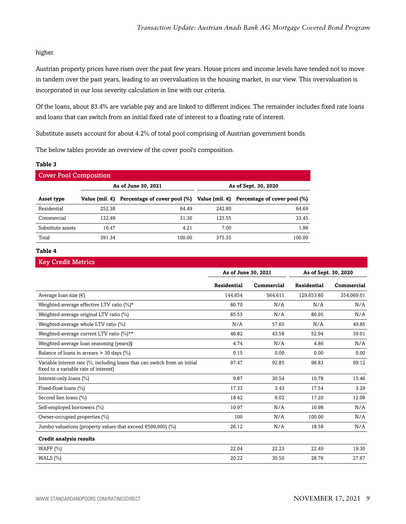#### higher.

Austrian property prices have risen over the past few years. House prices and income levels have tended not to move in tandem over the past years, leading to an overvaluation in the housing market, in our view. This overvaluation is incorporated in our loss severity calculation in line with our criteria.

Of the loans, about 83.4% are variable pay and are linked to different indices. The remainder includes fixed rate loans and loans that can switch from an initial fixed rate of interest to a floating rate of interest.

Substitute assets account for about 4.2% of total pool comprising of Austrian government bonds.

The below tables provide an overview of the cover pool's composition.

#### **Table 3**

| <b>Cover Pool Composition</b> |                |                                                                                          |        |                      |  |
|-------------------------------|----------------|------------------------------------------------------------------------------------------|--------|----------------------|--|
|                               |                | As of June 30, 2021                                                                      |        | As of Sept. 30, 2020 |  |
| Asset type                    | Value (mil. €) | Percentage of cover pool $(\%)$ Value (mil. $\epsilon$ ) Percentage of cover pool $(\%)$ |        |                      |  |
| Residential                   | 252.38         | 64.49                                                                                    | 242.80 | 64.69                |  |
| Commercial                    | 122.49         | 31.30                                                                                    | 125.55 | 33.45                |  |
| Substitute assets             | 16.47          | 4.21                                                                                     | 7.00   | 1.86                 |  |
| Total                         | 391.34         | 100.00                                                                                   | 375.35 | 100.00               |  |

#### **Table 4**

## Key Credit Metrics **As of June 30, 2021 As of Sept. 30, 2020 Residential Commercial Residential Commercial** Average loan size (€) 144,654 564,611 129,653.80 354,069.01 354,069.01 Weighted-average effective LTV ratio (%)\*  $\overline{N/A}$  80.70  $N/A$  N/A N/A N/A Weighted-average original LTV ratio (%)  $85.53$  N/A  $80.95$  N/A  $80.95$ Weighted-average whole LTV ratio (%)  $N/A$  57.65  $N/A$  49.85 Weighted-average current LTV ratio  $(\%)^{\star\star}$  46.82 43.58 52.94 39.01 46.82 53.94 39.01 Weighted-average loan seasoning (years)§ 1.74 N/A 4.86 N/A 4.86 N/A Balance of loans in arrears > 30 days (%) 0.15 0.00 0.00 0.00 0.00 0.00 0.00 Variable interest rate (%, including loans that can switch from an initial fixed to a variable rate of interest) 97.47 92.85 96.83 99.12 Interest-only loans (%) 15.46 10.78 15.46 Fixed-float loans (%) 3.29 17.33 3.43 17.54 3.29 Second lien loans (%) 18.42 6.02 17.20 12.08 Self-employed borrowers (%) 10.97 N/A 10.98 N/A Owner-occupied properties (%) and the control of the control of the control of the control of the control of the control of the control of the control of the control of the control of the control of the control of the cont Jumbo valuations (property values that exceed  $\epsilon$ 500,000) (%) 26.12 N/A 18.58 N/A **Credit analysis results** WAFF (%) 22.04 22.23 22.49 19.30 WALS (%) 20.22 30.50 28.76 27.67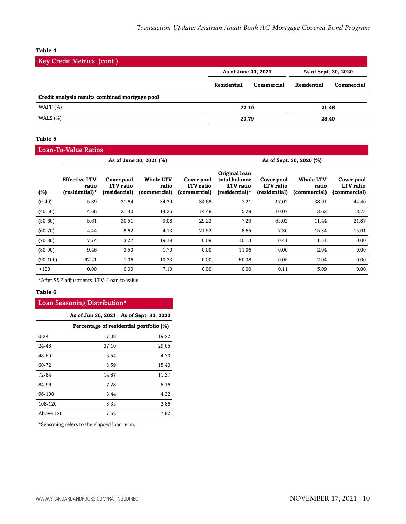| <b>Key Credit Metrics (cont.)</b>              |                     |            |                      |            |
|------------------------------------------------|---------------------|------------|----------------------|------------|
|                                                | As of June 30, 2021 |            | As of Sept. 30, 2020 |            |
|                                                | Residential         | Commercial | Residential          | Commercial |
| Credit analysis results combined mortgage pool |                     |            |                      |            |
| WAFF $(\% )$                                   |                     | 22.10      |                      | 21.46      |
| WALS $(\% )$                                   | 23.79               |            |                      | 28.40      |

#### **Table 5**

Loan-To-Value Ratios

|            | As of June 30, 2021 (%)                         |                                          |                                           |                                         |                                                               | As of Sept. 30, 2020 (%)                 |                                           |                                         |
|------------|-------------------------------------------------|------------------------------------------|-------------------------------------------|-----------------------------------------|---------------------------------------------------------------|------------------------------------------|-------------------------------------------|-----------------------------------------|
| $(\%)$     | <b>Effective LTV</b><br>ratio<br>(residential)* | Cover pool<br>LTV ratio<br>(residential) | <b>Whole LTV</b><br>ratio<br>(commercial) | Cover pool<br>LTV ratio<br>(commercial) | Original loan<br>total balance<br>LTV ratio<br>(residential)* | Cover pool<br>LTV ratio<br>(residential) | <b>Whole LTV</b><br>ratio<br>(commercial) | Cover pool<br>LTV ratio<br>(commercial) |
| $(0-40)$   | 5.89                                            | 31.64                                    | 34.29                                     | 34.68                                   | 7.21                                                          | 17.02                                    | 38.91                                     | 44.40                                   |
| $(40-50)$  | 4.66                                            | 21.40                                    | 14.26                                     | 14.48                                   | 5.28                                                          | 10.07                                    | 13.63                                     | 18.73                                   |
| $(50-60)$  | 5.61                                            | 30.51                                    | 9.08                                      | 29.23                                   | 7.29                                                          | 65.02                                    | 11.44                                     | 21.87                                   |
| $(60-70)$  | 4.44                                            | 8.62                                     | 4.13                                      | 21.52                                   | 8.65                                                          | 7.30                                     | 15.34                                     | 15.01                                   |
| $(70-80)$  | 7.74                                            | 3.27                                     | 19.19                                     | 0.09                                    | 10.13                                                         | 0.41                                     | 11.51                                     | 0.00                                    |
| $(80-90)$  | 9.46                                            | 3.50                                     | 1.70                                      | 0.00                                    | 11.06                                                         | 0.00                                     | 2.04                                      | 0.00                                    |
| $(90-100)$ | 62.21                                           | 1.06                                     | 10.23                                     | 0.00                                    | 50.38                                                         | 0.05                                     | 2.04                                      | 0.00                                    |
| >100       | 0.00                                            | 0.00                                     | 7.10                                      | 0.00                                    | 0.00                                                          | 0.11                                     | 5.09                                      | 0.00                                    |

\*After S&P adjustments. LTV--Loan-to-value.

#### **Table 6**

#### Loan Seasoning Distribution\*

|           |       | As of Jun 30, 2021 As of Sept. 30, 2020 |
|-----------|-------|-----------------------------------------|
|           |       | Percentage of residential portfolio (%) |
| $0 - 24$  | 17.08 | 19.22                                   |
| 24-48     | 37.10 | 29.05                                   |
| 48-60     | 5.54  | 4.70                                    |
| 60-72     | 3.59  | 15.40                                   |
| 72-84     | 14.87 | 11.37                                   |
| 84-96     | 7.28  | 5.16                                    |
| 96-108    | 3.44  | 4.32                                    |
| 108-120   | 3.35  | 2.86                                    |
| Above 120 | 7.62  | 7.92                                    |

\*Seasoning refers to the elapsed loan term.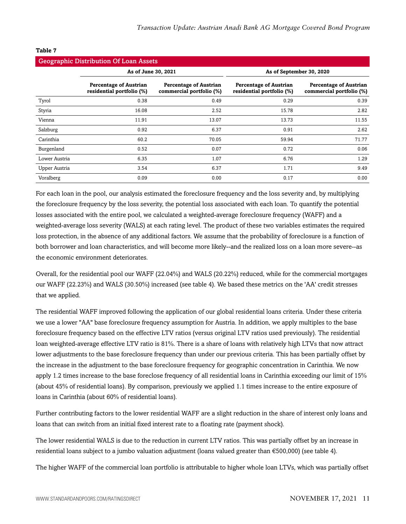| <b>Geographic Distribution Of Loan Assets</b> |                                                            |                                                           |                                                            |                                                           |  |  |
|-----------------------------------------------|------------------------------------------------------------|-----------------------------------------------------------|------------------------------------------------------------|-----------------------------------------------------------|--|--|
|                                               | As of June 30, 2021                                        |                                                           | As of September 30, 2020                                   |                                                           |  |  |
|                                               | <b>Percentage of Austrian</b><br>residential portfolio (%) | <b>Percentage of Austrian</b><br>commercial portfolio (%) | <b>Percentage of Austrian</b><br>residential portfolio (%) | <b>Percentage of Austrian</b><br>commercial portfolio (%) |  |  |
| Tyrol                                         | 0.38                                                       | 0.49                                                      | 0.29                                                       | 0.39                                                      |  |  |
| Styria                                        | 16.08                                                      | 2.52                                                      | 15.78                                                      | 2.82                                                      |  |  |
| Vienna                                        | 11.91                                                      | 13.07                                                     | 13.73                                                      | 11.55                                                     |  |  |
| Salzburg                                      | 0.92                                                       | 6.37                                                      | 0.91                                                       | 2.62                                                      |  |  |
| Carinthia                                     | 60.2                                                       | 70.05                                                     | 59.94                                                      | 71.77                                                     |  |  |
| Burgenland                                    | 0.52                                                       | 0.07                                                      | 0.72                                                       | 0.06                                                      |  |  |
| Lower Austria                                 | 6.35                                                       | 1.07                                                      | 6.76                                                       | 1.29                                                      |  |  |
| Upper Austria                                 | 3.54                                                       | 6.37                                                      | 1.71                                                       | 9.49                                                      |  |  |
| Voralberg                                     | 0.09                                                       | 0.00                                                      | 0.17                                                       | 0.00                                                      |  |  |

For each loan in the pool, our analysis estimated the foreclosure frequency and the loss severity and, by multiplying the foreclosure frequency by the loss severity, the potential loss associated with each loan. To quantify the potential losses associated with the entire pool, we calculated a weighted-average foreclosure frequency (WAFF) and a weighted-average loss severity (WALS) at each rating level. The product of these two variables estimates the required loss protection, in the absence of any additional factors. We assume that the probability of foreclosure is a function of both borrower and loan characteristics, and will become more likely--and the realized loss on a loan more severe--as the economic environment deteriorates.

Overall, for the residential pool our WAFF (22.04%) and WALS (20.22%) reduced, while for the commercial mortgages our WAFF (22.23%) and WALS (30.50%) increased (see table 4). We based these metrics on the 'AA' credit stresses that we applied.

The residential WAFF improved following the application of our global residential loans criteria. Under these criteria we use a lower "AA" base foreclosure frequency assumption for Austria. In addition, we apply multiples to the base foreclosure frequency based on the effective LTV ratios (versus original LTV ratios used previously). The residential loan weighted-average effective LTV ratio is 81%. There is a share of loans with relatively high LTVs that now attract lower adjustments to the base foreclosure frequency than under our previous criteria. This has been partially offset by the increase in the adjustment to the base foreclosure frequency for geographic concentration in Carinthia. We now apply 1.2 times increase to the base foreclose frequency of all residential loans in Carinthia exceeding our limit of 15% (about 45% of residential loans). By comparison, previously we applied 1.1 times increase to the entire exposure of loans in Carinthia (about 60% of residential loans).

Further contributing factors to the lower residential WAFF are a slight reduction in the share of interest only loans and loans that can switch from an initial fixed interest rate to a floating rate (payment shock).

The lower residential WALS is due to the reduction in current LTV ratios. This was partially offset by an increase in residential loans subject to a jumbo valuation adjustment (loans valued greater than €500,000) (see table 4).

The higher WAFF of the commercial loan portfolio is attributable to higher whole loan LTVs, which was partially offset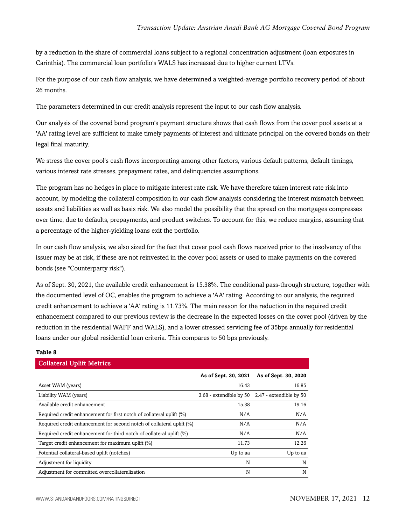by a reduction in the share of commercial loans subject to a regional concentration adjustment (loan exposures in Carinthia). The commercial loan portfolio's WALS has increased due to higher current LTVs.

For the purpose of our cash flow analysis, we have determined a weighted-average portfolio recovery period of about 26 months.

The parameters determined in our credit analysis represent the input to our cash flow analysis.

Our analysis of the covered bond program's payment structure shows that cash flows from the cover pool assets at a 'AA' rating level are sufficient to make timely payments of interest and ultimate principal on the covered bonds on their legal final maturity.

We stress the cover pool's cash flows incorporating among other factors, various default patterns, default timings, various interest rate stresses, prepayment rates, and delinquencies assumptions.

The program has no hedges in place to mitigate interest rate risk. We have therefore taken interest rate risk into account, by modeling the collateral composition in our cash flow analysis considering the interest mismatch between assets and liabilities as well as basis risk. We also model the possibility that the spread on the mortgages compresses over time, due to defaults, prepayments, and product switches. To account for this, we reduce margins, assuming that a percentage of the higher-yielding loans exit the portfolio.

In our cash flow analysis, we also sized for the fact that cover pool cash flows received prior to the insolvency of the issuer may be at risk, if these are not reinvested in the cover pool assets or used to make payments on the covered bonds (see "Counterparty risk").

As of Sept. 30, 2021, the available credit enhancement is 15.38%. The conditional pass-through structure, together with the documented level of OC, enables the program to achieve a 'AA' rating. According to our analysis, the required credit enhancement to achieve a 'AA' rating is 11.73%. The main reason for the reduction in the required credit enhancement compared to our previous review is the decrease in the expected losses on the cover pool (driven by the reduction in the residential WAFF and WALS), and a lower stressed servicing fee of 35bps annually for residential loans under our global residential loan criteria. This compares to 50 bps previously.

| <b>Collateral Uplift Metrics</b>                                         |                         |                         |
|--------------------------------------------------------------------------|-------------------------|-------------------------|
|                                                                          | As of Sept. 30, 2021    | As of Sept. 30, 2020    |
| Asset WAM (years)                                                        | 16.43                   | 16.85                   |
| Liability WAM (years)                                                    | 3.68 - extendible by 50 | 2.47 - extendible by 50 |
| Available credit enhancement                                             | 15.38                   | 19.16                   |
| Required credit enhancement for first notch of collateral uplift (%)     | N/A                     | N/A                     |
| Required credit enhancement for second notch of collateral uplift $(\%)$ | N/A                     | N/A                     |
| Required credit enhancement for third notch of collateral uplift (%)     | N/A                     | N/A                     |
| Target credit enhancement for maximum uplift (%)                         | 11.73                   | 12.26                   |
| Potential collateral-based uplift (notches)                              | Up to aa                | Up to aa                |
| Adjustment for liquidity                                                 | N                       | N                       |
| Adjustment for committed overcollateralization                           | N                       | N                       |

## **Table 8**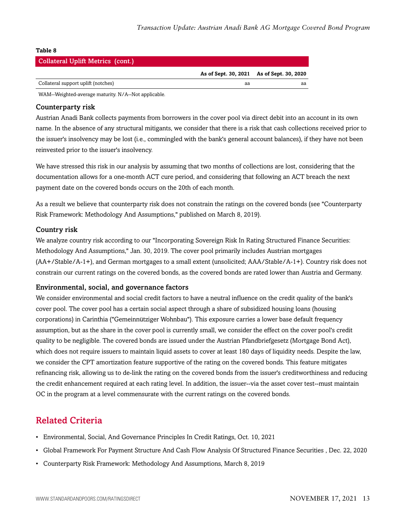| <b>Collateral Uplift Metrics (cont.)</b> |    |                                           |
|------------------------------------------|----|-------------------------------------------|
|                                          |    | As of Sept. 30, 2021 As of Sept. 30, 2020 |
| Collateral support uplift (notches)      | aa | аа                                        |

WAM--Weighted-average maturity. N/A--Not applicable.

#### Counterparty risk

Austrian Anadi Bank collects payments from borrowers in the cover pool via direct debit into an account in its own name. In the absence of any structural mitigants, we consider that there is a risk that cash collections received prior to the issuer's insolvency may be lost (i.e., commingled with the bank's general account balances), if they have not been reinvested prior to the issuer's insolvency.

We have stressed this risk in our analysis by assuming that two months of collections are lost, considering that the documentation allows for a one-month ACT cure period, and considering that following an ACT breach the next payment date on the covered bonds occurs on the 20th of each month.

As a result we believe that counterparty risk does not constrain the ratings on the covered bonds (see "Counterparty Risk Framework: Methodology And Assumptions," published on March 8, 2019).

#### Country risk

We analyze country risk according to our "Incorporating Sovereign Risk In Rating Structured Finance Securities: Methodology And Assumptions," Jan. 30, 2019. The cover pool primarily includes Austrian mortgages (AA+/Stable/A-1+), and German mortgages to a small extent (unsolicited; AAA/Stable/A-1+). Country risk does not constrain our current ratings on the covered bonds, as the covered bonds are rated lower than Austria and Germany.

#### Environmental, social, and governance factors

We consider environmental and social credit factors to have a neutral influence on the credit quality of the bank's cover pool. The cover pool has a certain social aspect through a share of subsidized housing loans (housing corporations) in Carinthia ("Gemeinnütziger Wohnbau"). This exposure carries a lower base default frequency assumption, but as the share in the cover pool is currently small, we consider the effect on the cover pool's credit quality to be negligible. The covered bonds are issued under the Austrian Pfandbriefgesetz (Mortgage Bond Act), which does not require issuers to maintain liquid assets to cover at least 180 days of liquidity needs. Despite the law, we consider the CPT amortization feature supportive of the rating on the covered bonds. This feature mitigates refinancing risk, allowing us to de-link the rating on the covered bonds from the issuer's creditworthiness and reducing the credit enhancement required at each rating level. In addition, the issuer--via the asset cover test--must maintain OC in the program at a level commensurate with the current ratings on the covered bonds.

## <span id="page-12-0"></span>Related Criteria

- Environmental, Social, And Governance Principles In Credit Ratings, Oct. 10, 2021
- Global Framework For Payment Structure And Cash Flow Analysis Of Structured Finance Securities , Dec. 22, 2020
- Counterparty Risk Framework: Methodology And Assumptions, March 8, 2019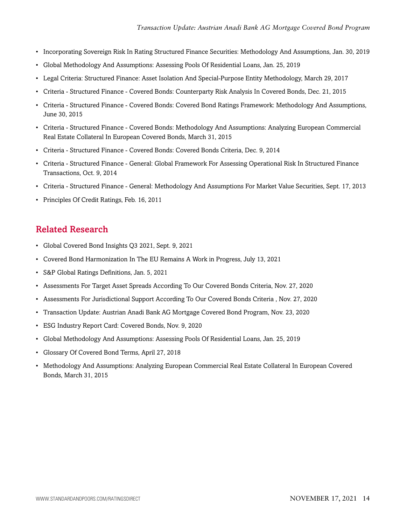- Incorporating Sovereign Risk In Rating Structured Finance Securities: Methodology And Assumptions, Jan. 30, 2019
- Global Methodology And Assumptions: Assessing Pools Of Residential Loans, Jan. 25, 2019
- Legal Criteria: Structured Finance: Asset Isolation And Special-Purpose Entity Methodology, March 29, 2017
- Criteria Structured Finance Covered Bonds: Counterparty Risk Analysis In Covered Bonds, Dec. 21, 2015
- Criteria Structured Finance Covered Bonds: Covered Bond Ratings Framework: Methodology And Assumptions, June 30, 2015
- Criteria Structured Finance Covered Bonds: Methodology And Assumptions: Analyzing European Commercial Real Estate Collateral In European Covered Bonds, March 31, 2015
- Criteria Structured Finance Covered Bonds: Covered Bonds Criteria, Dec. 9, 2014
- Criteria Structured Finance General: Global Framework For Assessing Operational Risk In Structured Finance Transactions, Oct. 9, 2014
- Criteria Structured Finance General: Methodology And Assumptions For Market Value Securities, Sept. 17, 2013
- Principles Of Credit Ratings, Feb. 16, 2011

## <span id="page-13-0"></span>Related Research

- Global Covered Bond Insights Q3 2021, Sept. 9, 2021
- Covered Bond Harmonization In The EU Remains A Work in Progress, July 13, 2021
- S&P Global Ratings Definitions, Jan. 5, 2021
- Assessments For Target Asset Spreads According To Our Covered Bonds Criteria, Nov. 27, 2020
- Assessments For Jurisdictional Support According To Our Covered Bonds Criteria , Nov. 27, 2020
- Transaction Update: Austrian Anadi Bank AG Mortgage Covered Bond Program, Nov. 23, 2020
- ESG Industry Report Card: Covered Bonds, Nov. 9, 2020
- Global Methodology And Assumptions: Assessing Pools Of Residential Loans, Jan. 25, 2019
- Glossary Of Covered Bond Terms, April 27, 2018
- Methodology And Assumptions: Analyzing European Commercial Real Estate Collateral In European Covered Bonds, March 31, 2015